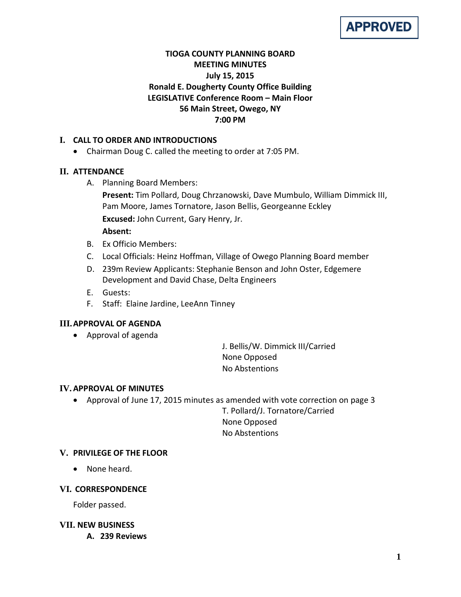

# **TIOGA COUNTY PLANNING BOARD MEETING MINUTES July 15, 2015 Ronald E. Dougherty County Office Building LEGISLATIVE Conference Room – Main Floor 56 Main Street, Owego, NY 7:00 PM**

## **I. CALL TO ORDER AND INTRODUCTIONS**

• Chairman Doug C. called the meeting to order at 7:05 PM.

## **II. ATTENDANCE**

A. Planning Board Members:

**Present:** Tim Pollard, Doug Chrzanowski, Dave Mumbulo, William Dimmick III, Pam Moore, James Tornatore, Jason Bellis, Georgeanne Eckley **Excused:** John Current, Gary Henry, Jr.

### **Absent:**

- B. Ex Officio Members:
- C. Local Officials: Heinz Hoffman, Village of Owego Planning Board member
- D. 239m Review Applicants: Stephanie Benson and John Oster, Edgemere Development and David Chase, Delta Engineers
- E. Guests:
- F. Staff: Elaine Jardine, LeeAnn Tinney

## **III.APPROVAL OF AGENDA**

• Approval of agenda

J. Bellis/W. Dimmick III/Carried None Opposed No Abstentions

## **IV.APPROVAL OF MINUTES**

• Approval of June 17, 2015 minutes as amended with vote correction on page 3

T. Pollard/J. Tornatore/Carried None Opposed No Abstentions

# **V. PRIVILEGE OF THE FLOOR**

• None heard.

## **VI. CORRESPONDENCE**

Folder passed.

## **VII. NEW BUSINESS**

**A. 239 Reviews**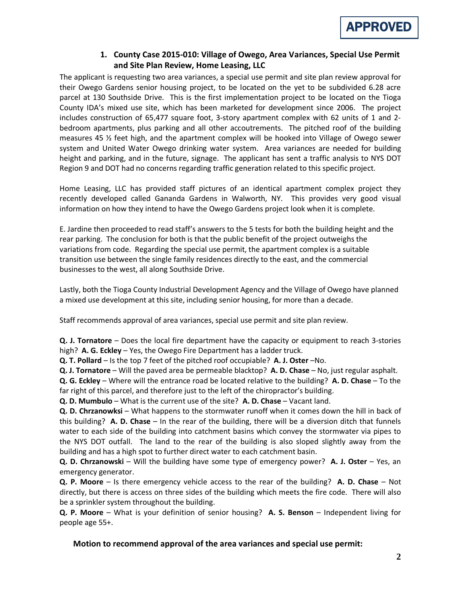

# **1. County Case 2015-010: Village of Owego, Area Variances, Special Use Permit and Site Plan Review, Home Leasing, LLC**

The applicant is requesting two area variances, a special use permit and site plan review approval for their Owego Gardens senior housing project, to be located on the yet to be subdivided 6.28 acre parcel at 130 Southside Drive. This is the first implementation project to be located on the Tioga County IDA's mixed use site, which has been marketed for development since 2006. The project includes construction of 65,477 square foot, 3-story apartment complex with 62 units of 1 and 2 bedroom apartments, plus parking and all other accoutrements. The pitched roof of the building measures 45 ½ feet high, and the apartment complex will be hooked into Village of Owego sewer system and United Water Owego drinking water system. Area variances are needed for building height and parking, and in the future, signage. The applicant has sent a traffic analysis to NYS DOT Region 9 and DOT had no concerns regarding traffic generation related to this specific project.

Home Leasing, LLC has provided staff pictures of an identical apartment complex project they recently developed called Gananda Gardens in Walworth, NY. This provides very good visual information on how they intend to have the Owego Gardens project look when it is complete.

E. Jardine then proceeded to read staff's answers to the 5 tests for both the building height and the rear parking. The conclusion for both is that the public benefit of the project outweighs the variations from code. Regarding the special use permit, the apartment complex is a suitable transition use between the single family residences directly to the east, and the commercial businesses to the west, all along Southside Drive.

Lastly, both the Tioga County Industrial Development Agency and the Village of Owego have planned a mixed use development at this site, including senior housing, for more than a decade.

Staff recommends approval of area variances, special use permit and site plan review.

**Q. J. Tornatore** – Does the local fire department have the capacity or equipment to reach 3-stories high? **A. G. Eckley** – Yes, the Owego Fire Department has a ladder truck.

**Q. T. Pollard** – Is the top 7 feet of the pitched roof occupiable? **A. J. Oster** –No.

**Q. J. Tornatore** – Will the paved area be permeable blacktop? **A. D. Chase** – No, just regular asphalt.

**Q. G. Eckley** – Where will the entrance road be located relative to the building? **A. D. Chase** – To the far right of this parcel, and therefore just to the left of the chiropractor's building.

**Q. D. Mumbulo** – What is the current use of the site? **A. D. Chase** – Vacant land.

**Q. D. Chrzanowksi** – What happens to the stormwater runoff when it comes down the hill in back of this building? **A. D. Chase** – In the rear of the building, there will be a diversion ditch that funnels water to each side of the building into catchment basins which convey the stormwater via pipes to the NYS DOT outfall. The land to the rear of the building is also sloped slightly away from the building and has a high spot to further direct water to each catchment basin.

**Q. D. Chrzanowski** – Will the building have some type of emergency power? **A. J. Oster** – Yes, an emergency generator.

**Q. P. Moore** – Is there emergency vehicle access to the rear of the building? **A. D. Chase** – Not directly, but there is access on three sides of the building which meets the fire code. There will also be a sprinkler system throughout the building.

**Q. P. Moore** – What is your definition of senior housing? **A. S. Benson** – Independent living for people age 55+.

**Motion to recommend approval of the area variances and special use permit:**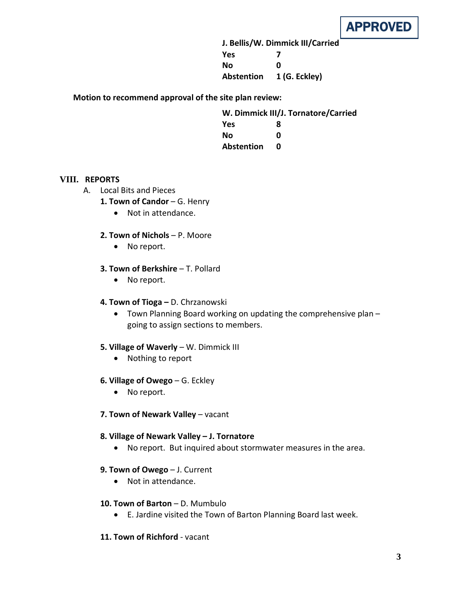

**J. Bellis/W. Dimmick III/Carried Yes 7 No 0 Abstention 1 (G. Eckley)**

**Motion to recommend approval of the site plan review:**

| W. Dimmick III/J. Tornatore/Carried |   |
|-------------------------------------|---|
| <b>Yes</b>                          | 8 |
| Nο                                  | n |
| <b>Abstention</b>                   | n |
|                                     |   |

### **VIII. REPORTS**

- A. Local Bits and Pieces
	- 1. Town of Candor G. Henry
		- Not in attendance.

### **2. Town of Nichols** – P. Moore

• No report.

#### **3. Town of Berkshire** – T. Pollard

• No report.

#### **4. Town of Tioga –** D. Chrzanowski

• Town Planning Board working on updating the comprehensive plan – going to assign sections to members.

#### **5. Village of Waverly** – W. Dimmick III

• Nothing to report

#### **6. Village of Owego** – G. Eckley

- No report.
- **7. Town of Newark Valley** vacant

#### **8. Village of Newark Valley – J. Tornatore**

• No report. But inquired about stormwater measures in the area.

#### **9. Town of Owego** – J. Current

• Not in attendance.

#### **10. Town of Barton** – D. Mumbulo

• E. Jardine visited the Town of Barton Planning Board last week.

## **11. Town of Richford** - vacant